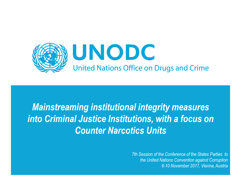

# Mainstreaming institutional integrity measures into Criminal Justice Institutions, with a focus on Counter Narcotics Units

7th Session of the Conference of the States Parties to the United Nations Convention against Corruption 6-10 November 2017, Vienna, Austria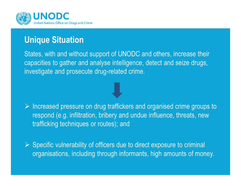

## Unique Situation

States, with and without support of UNODC and others, increase theircapacities to gather and analyse intelligence, detect and seize drugs, investigate and prosecute drug-related crime.

 $\triangleright$  Increased pressure on drug traffickers and organised crime groups to  $\triangleright$  Increased (e.g. influence bright) and undue influence threate new respond (e.g. infiltration, bribery and undue influence, threats, newtrafficking techniques or routes); and

Specific vulnerability of officers due to direct exposure to criminal<br>Creasiational including through informanta, high emounta of mou organisations, including through informants, high amounts of money.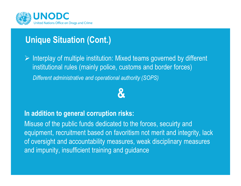

# Unique Situation (Cont.)

 $\triangleright$  Interplay of multiple institution: Mixed teams governed by different institutional rules (mainly police everyone and berder fereon) institutional rules (mainly police, customs and border forces) Different administrative and operational authority (SOPS)

&

#### In addition to general corruption risks:

Misuse of the public funds dedicated to the forces, secuirty andequipment, recruitment based on favoritism not merit and integrity, lack<br>efactoristic and conserve billions are sensely allocated to conserve and conserve of oversight and accountability measures, weak disciplinary measures and impunity, insufficient training and guidance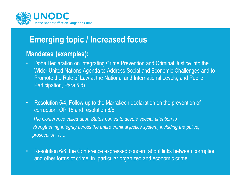

# Emerging topic / Increased focus

#### Mandates (examples):

- Doha Declaration on Integrating Crime Prevention and Criminal Justice into the Wider United Nations Agenda to Address Social and Economic Challenges and to Promote the Rule of Law at the National and International Levels, and Public Participation, Para 5 d)
- Resolution 5/4, Follow-up to the Marrakech declaration on the prevention of corruption, OP 15 and resolution 6/6The Conference called upon States parties to devote special attention to strengthening integrity across the entire criminal justice system, including the police, prosecution, (…)
- Resolution 6/6, the Conference expressed concern about links between corruption and other forms of crime, in particular organized and economic crime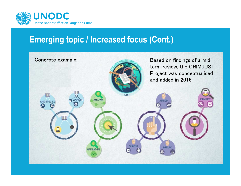

### Emerging topic / Increased focus (Cont.)

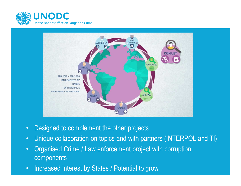



- $\bullet$ Designed to complement the other projects
- $\bullet$ Unique collaboration on topics and with partners (INTERPOL and TI)
- • Organised Crime / Law enforcement project with corruption components
- •Increased interest by States / Potential to grow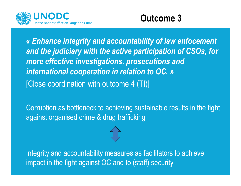



« Enhance integrity and accountability of law enfocement and the judiciary with the active participation of CSOs, for more effective investigations, prosecutions and international cooperation in relation to OC. »[Close coordination with outcome 4 (TI)]

Corruption as bottleneck to achieving sustainable results in the fight against organised crime & drug trafficking

Integrity and accountability measures as facilitators to achieve impact in the fight against OC and to (staff) security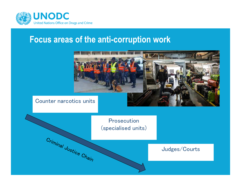

### Focus areas of the anti-corruption work

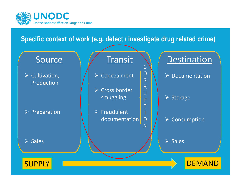

#### Specific context of work (e.g. detect / investigate drug related crime)

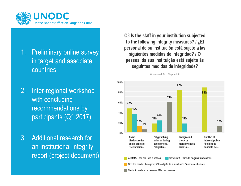

- 1. Preliminary online survey in target and associate countries
- 2. Inter-regional workshop with concluding recommendations by participants (Q1 2017)
- 3. Additional research for an Institutional integrity report (project document)

Q3 Is the staff in your institution subjected to the following integrity measures? / ¿EI personal de su institución está sujeto a las siguientes medidas de integridad? / O pessoal da sua instituição está sujeito às seguintes medidas de integridade?

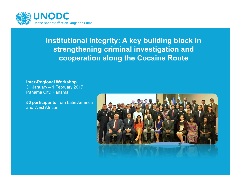

#### Institutional Integrity: A key building block in strengthening criminal investigation and cooperation along the Cocaine Route

Inter-Regional Workshop 31 January – 1 February 2017Panama City, Panama

50 participants from Latin Americaand West African

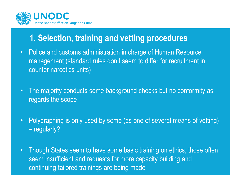

# 1. Selection, training and vetting procedures

- • Police and customs administration in charge of Human Resource management (standard rules don't seem to differ for recruitment in counter narcotics units)
- • The majority conducts some background checks but no conformity as regards the scope
- • Polygraphing is only used by some (as one of several means of vetting) regularly?
- •Though States seem to have some basic training on ethics, those often seem insufficient and requests for more capacity building and continuing tailored trainings are being made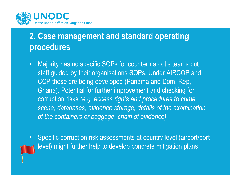

# 2. Case management and standard operating procedures

- • Majority has no specific SOPs for counter narcotis teams but staff guided by their organisations SOPs. Under AIRCOP andCCP those are being developed (Panama and Dom. Rep, Ghana). Potential for further improvement and checking forcorruption risks (e.g. access rights and procedures to crime scene, databases, evidence storage, details of the examinationof the containers or baggage, chain of evidence)
- $\bullet$  Specific corruption risk assessments at country level (airport/portlevel) might further help to develop concrete mitigation plans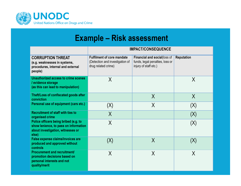

### Example – Risk assessment

|                                                                                                                              | <b>IMPACT/CONSEQUENCE</b>                                                                   |                                                                                          |                   |  |  |  |
|------------------------------------------------------------------------------------------------------------------------------|---------------------------------------------------------------------------------------------|------------------------------------------------------------------------------------------|-------------------|--|--|--|
| <b>CORRUPTION THREAT</b><br>(e.g. weaknesses in systems,<br>procedures, internal and external<br>people)                     | <b>Fulfilment of core mandate</b><br>(Detection and investigation of<br>drug related crime) | Financial and social(loss of<br>funds, legal penalties, loss or<br>injury of staff etc.) | <b>Reputation</b> |  |  |  |
| Unauthorized access to crime scenes<br>evidence storage<br>(as this can lead to manipulation)                                | X                                                                                           |                                                                                          | X                 |  |  |  |
| Theft/Loss of confiscated goods after<br>conviction                                                                          |                                                                                             | X                                                                                        | X                 |  |  |  |
| Personal use of equipment (cars etc.)                                                                                        | (X)                                                                                         | X                                                                                        | (X)               |  |  |  |
| <b>Recruitment of staff with ties to</b><br>organised crime                                                                  | $\sf X$                                                                                     |                                                                                          | (X)               |  |  |  |
| Police officers being bribed (e.g. to<br>show lenience, to pass on information<br>about investigation, witnesses or<br>else) | X                                                                                           |                                                                                          | (X)               |  |  |  |
| False expense claims/invoices are<br>produced and approved without<br>controls                                               | (X)                                                                                         | X                                                                                        | (X)               |  |  |  |
| <b>Procurement and recruitment/</b><br>promotion decisions based on<br>personal interests and not<br>quality/merit           | $\sf{X}$                                                                                    | $\sf X$                                                                                  | $\sf X$           |  |  |  |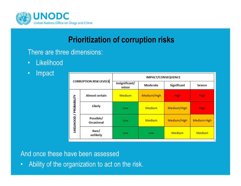

### Prioritization of corruption risks

There are three dimensions:

- $\bullet$  . **Likelihood**
- $\bullet$ Impact

| <b>CORRUPTION RISK LEVELS</b>   |                                | <b>IMPACT/CONSEQUENCE</b> |                 |                    |                    |  |
|---------------------------------|--------------------------------|---------------------------|-----------------|--------------------|--------------------|--|
|                                 |                                | Insignificant/<br>minor   | <b>Moderate</b> | <b>Significant</b> | <b>Severe</b>      |  |
| <b>LIKELIHOOD / PROBABILITY</b> | <b>Almost certain</b>          | <b>Medium</b>             | Medium/High     | <b>High</b>        | <b>High</b>        |  |
|                                 | Likely                         | Low                       | <b>Medium</b>   | Medium/High        | <b>High</b>        |  |
|                                 | Possible/<br><b>Occasional</b> | Low                       | <b>Medium</b>   | Medium/High        | <b>Medium High</b> |  |
|                                 | Rare/<br>unlikely              | Low                       | Low             | <b>Medium</b>      | <b>Medium</b>      |  |

And once these have been assessed

•Ability of the organization to act on the risk.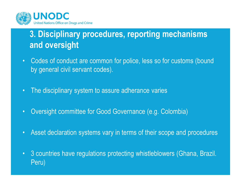

# 3. Disciplinary procedures, reporting mechanisms and oversight

- Codes of conduct are common for police, less so for customs (boundby general civil servant codes).
- $\bullet$  : The disciplinary system to assure adherance varies
- $\bullet$ Oversight committee for Good Governance (e.g. Colombia)
- $\bullet$ Asset declaration systems vary in terms of their scope and procedures
- $\bullet$  3 countries have regulations protecting whistleblowers (Ghana, Brazil. Peru)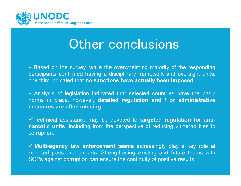

# Other conclusions

√ Based on the survey, while the overwhelming majority of the responding participants confirmed having <sup>a</sup> disciplinary framework and oversight units,one third indicated that **no sanctions have actually been imposed**.

√ Analysis of legislation indicated that selected countries have the basic norms in place, however, detailed regulation and / or administrativemeasures are often missing.

√ Technical assistance may be devoted to targeted regulation for anti-<br>nexestie unite including from the nexenestive of reducing vulnerabilities to narcotic units, including from the perspective of reducing vulnerabilities tocorruption.

 Multi-agency law enforcement teams increasingly play <sup>a</sup> key role at selected ports and airports. Strengthening existing and future teams with SOPs against corruption can ensure the continuity of positive results.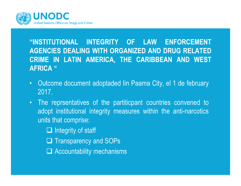

#### "INSTITUTIONAL INTEGRITY OF LAW ENFORCEMENT AGENCIES DEALING WITH ORGANIZED AND DRUG RELATED CRIME IN LATIN AMERICA, THE CARIBBEAN AND WESTAFRICA "

- $\bullet$  Outcome document adoptaded Iin Paama City, el 1 de february2017.
- The reprsentatives of the partiticpant countries convened to adopt institutional integrity measures within the anti-narcoticsunits that comprise:

□ Integrity of staff **Q Transparency and SOPs** □ Accountability mechanisms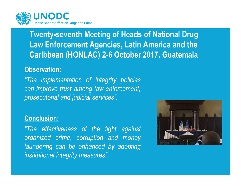

### Twenty-seventh Meeting of Heads of National Drug Law Enforcement Agencies, Latin America and the Caribbean (HONLAC) 2-6 October 2017, Guatemala

#### Observation:

"The implementation of integrity policies can improve trust among law enforcement,prosecutorial and judicial services".

#### Conclusion:

"The effectiveness of the fight againstorganized crime, corruption and money laundering can be enhanced by adoptinginstitutional integrity measures".

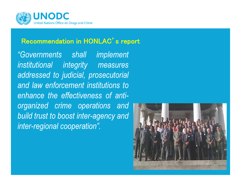

## Recommendation in HONLAC's report

"Governments shall implementinstitutional integrity measures addressed to judicial, prosecutorial and law enforcement institutions to enhance the effectiveness of antiorganized crime operations and build trust to boost inter-agency andinter-regional cooperation".

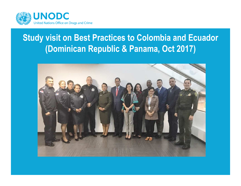

# Study visit on Best Practices to Colombia and Ecuador(Dominican Republic & Panama, Oct 2017)

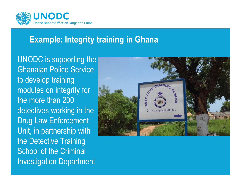

# Example: Integrity training in Ghana

UNODC is supporting the Ghanaian Police Service to develop training modules on integrity for the more than 200 detectives working in the Drug Law Enforcement Unit, in partnership with the Detective Training School of the Criminal Investigation Department.

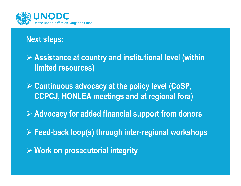

### Next steps:

 Assistance at country and institutional level (within limited resources)

 $\triangleright$  Continuous advocacy at the policy level (CoSP, CCPCJ, HONLEA meetings and at regional fora)

 $\triangleright$  Advocacy for added financial support from donors

Feed-back loop(s) through inter-regional workshops

 $\triangleright$  Work on prosecutorial integrity